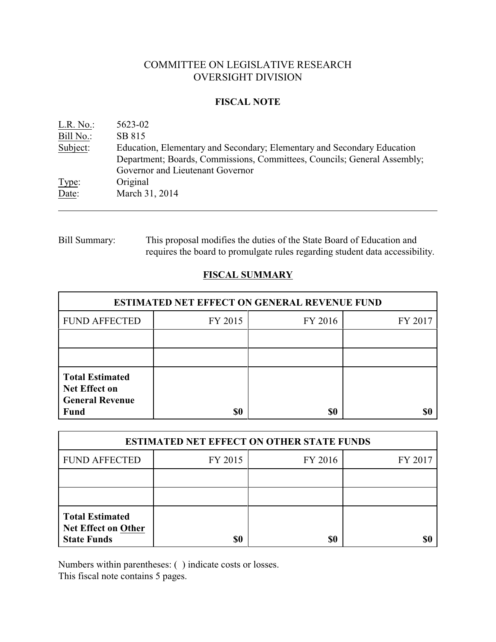# COMMITTEE ON LEGISLATIVE RESEARCH OVERSIGHT DIVISION

## **FISCAL NOTE**

| L.R. No.  | 5623-02                                                                  |
|-----------|--------------------------------------------------------------------------|
| Bill No.: | SB 815                                                                   |
| Subject:  | Education, Elementary and Secondary; Elementary and Secondary Education  |
|           | Department; Boards, Commissions, Committees, Councils; General Assembly; |
|           | Governor and Lieutenant Governor                                         |
| Type:     | Original                                                                 |
| Date:     | March 31, 2014                                                           |

# Bill Summary: This proposal modifies the duties of the State Board of Education and requires the board to promulgate rules regarding student data accessibility.

# **FISCAL SUMMARY**

| <b>ESTIMATED NET EFFECT ON GENERAL REVENUE FUND</b>                      |         |         |         |  |
|--------------------------------------------------------------------------|---------|---------|---------|--|
| <b>FUND AFFECTED</b>                                                     | FY 2015 | FY 2016 | FY 2017 |  |
|                                                                          |         |         |         |  |
|                                                                          |         |         |         |  |
| <b>Total Estimated</b><br><b>Net Effect on</b><br><b>General Revenue</b> |         |         |         |  |
| <b>Fund</b>                                                              | \$0     | \$0     |         |  |

| <b>ESTIMATED NET EFFECT ON OTHER STATE FUNDS</b>                           |         |         |         |  |
|----------------------------------------------------------------------------|---------|---------|---------|--|
| <b>FUND AFFECTED</b>                                                       | FY 2015 | FY 2016 | FY 2017 |  |
|                                                                            |         |         |         |  |
|                                                                            |         |         |         |  |
| <b>Total Estimated</b><br><b>Net Effect on Other</b><br><b>State Funds</b> |         | \$0     |         |  |

Numbers within parentheses: ( ) indicate costs or losses.

This fiscal note contains 5 pages.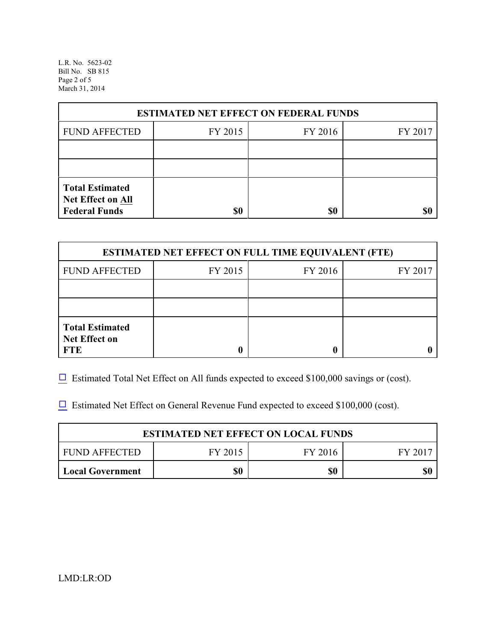L.R. No. 5623-02 Bill No. SB 815 Page 2 of 5 March 31, 2014

| <b>ESTIMATED NET EFFECT ON FEDERAL FUNDS</b> |         |         |         |  |  |
|----------------------------------------------|---------|---------|---------|--|--|
| <b>FUND AFFECTED</b>                         | FY 2015 | FY 2016 | FY 2017 |  |  |
|                                              |         |         |         |  |  |
|                                              |         |         |         |  |  |
| <b>Total Estimated</b><br>Net Effect on All  |         |         |         |  |  |
| <b>Federal Funds</b>                         | \$0     | \$0     |         |  |  |

| <b>ESTIMATED NET EFFECT ON FULL TIME EQUIVALENT (FTE)</b>    |         |         |         |  |
|--------------------------------------------------------------|---------|---------|---------|--|
| <b>FUND AFFECTED</b>                                         | FY 2015 | FY 2016 | FY 2017 |  |
|                                                              |         |         |         |  |
|                                                              |         |         |         |  |
| <b>Total Estimated</b><br><b>Net Effect on</b><br><b>FTE</b> |         |         |         |  |

 $\Box$  Estimated Total Net Effect on All funds expected to exceed \$100,000 savings or (cost).

 $\Box$  Estimated Net Effect on General Revenue Fund expected to exceed \$100,000 (cost).

| <b>ESTIMATED NET EFFECT ON LOCAL FUNDS</b> |         |         |       |  |
|--------------------------------------------|---------|---------|-------|--|
| FUND AFFECTED                              | FY 2015 | FY 2016 | FY 20 |  |
| Local Government                           | \$0     | \$0     | \$0   |  |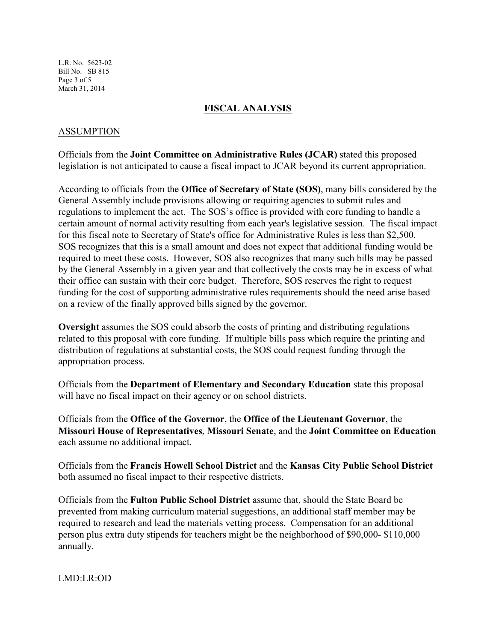L.R. No. 5623-02 Bill No. SB 815 Page 3 of 5 March 31, 2014

## **FISCAL ANALYSIS**

## ASSUMPTION

Officials from the **Joint Committee on Administrative Rules (JCAR)** stated this proposed legislation is not anticipated to cause a fiscal impact to JCAR beyond its current appropriation.

According to officials from the **Office of Secretary of State (SOS)**, many bills considered by the General Assembly include provisions allowing or requiring agencies to submit rules and regulations to implement the act. The SOS's office is provided with core funding to handle a certain amount of normal activity resulting from each year's legislative session. The fiscal impact for this fiscal note to Secretary of State's office for Administrative Rules is less than \$2,500. SOS recognizes that this is a small amount and does not expect that additional funding would be required to meet these costs. However, SOS also recognizes that many such bills may be passed by the General Assembly in a given year and that collectively the costs may be in excess of what their office can sustain with their core budget. Therefore, SOS reserves the right to request funding for the cost of supporting administrative rules requirements should the need arise based on a review of the finally approved bills signed by the governor.

**Oversight** assumes the SOS could absorb the costs of printing and distributing regulations related to this proposal with core funding. If multiple bills pass which require the printing and distribution of regulations at substantial costs, the SOS could request funding through the appropriation process.

Officials from the **Department of Elementary and Secondary Education** state this proposal will have no fiscal impact on their agency or on school districts.

Officials from the **Office of the Governor**, the **Office of the Lieutenant Governor**, the **Missouri House of Representatives**, **Missouri Senate**, and the **Joint Committee on Education** each assume no additional impact.

Officials from the **Francis Howell School District** and the **Kansas City Public School District** both assumed no fiscal impact to their respective districts.

Officials from the **Fulton Public School District** assume that, should the State Board be prevented from making curriculum material suggestions, an additional staff member may be required to research and lead the materials vetting process. Compensation for an additional person plus extra duty stipends for teachers might be the neighborhood of \$90,000- \$110,000 annually.

LMD:LR:OD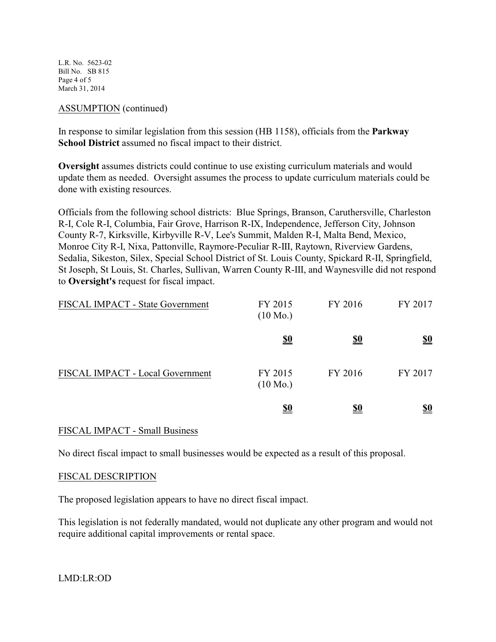L.R. No. 5623-02 Bill No. SB 815 Page 4 of 5 March 31, 2014

#### ASSUMPTION (continued)

In response to similar legislation from this session (HB 1158), officials from the **Parkway School District** assumed no fiscal impact to their district.

**Oversight** assumes districts could continue to use existing curriculum materials and would update them as needed. Oversight assumes the process to update curriculum materials could be done with existing resources.

Officials from the following school districts: Blue Springs, Branson, Caruthersville, Charleston R-I, Cole R-I, Columbia, Fair Grove, Harrison R-IX, Independence, Jefferson City, Johnson County R-7, Kirksville, Kirbyville R-V, Lee's Summit, Malden R-I, Malta Bend, Mexico, Monroe City R-I, Nixa, Pattonville, Raymore-Peculiar R-III, Raytown, Riverview Gardens, Sedalia, Sikeston, Silex, Special School District of St. Louis County, Spickard R-II, Springfield, St Joseph, St Louis, St. Charles, Sullivan, Warren County R-III, and Waynesville did not respond to **Oversight's** request for fiscal impact.

| FISCAL IMPACT - State Government | FY 2015<br>$(10 \text{ Mo.})$ | FY 2016    | FY 2017                       |
|----------------------------------|-------------------------------|------------|-------------------------------|
|                                  | <u>\$0</u>                    | <u>\$0</u> | $\underline{\underline{\$0}}$ |
| FISCAL IMPACT - Local Government | FY 2015<br>$(10 \text{ Mo.})$ | FY 2016    | FY 2017                       |
|                                  | <u>\$0</u>                    | <u>\$0</u> | <u>\$0</u>                    |

#### FISCAL IMPACT - Small Business

No direct fiscal impact to small businesses would be expected as a result of this proposal.

#### FISCAL DESCRIPTION

The proposed legislation appears to have no direct fiscal impact.

This legislation is not federally mandated, would not duplicate any other program and would not require additional capital improvements or rental space.

LMD:LR:OD